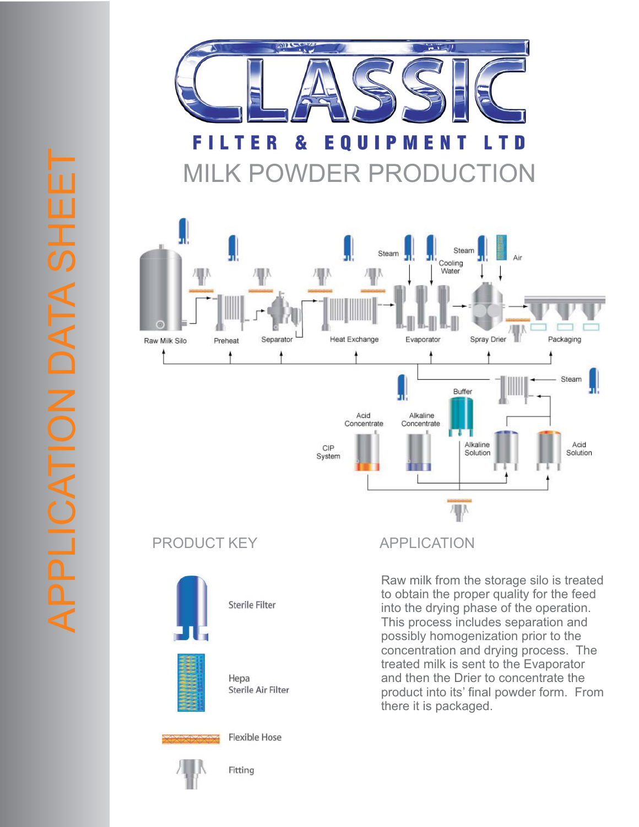

## MILK POWDER PRODUCTION







Sterile Filter

Hepa Sterile Air Filter



**Flexible Hose** 

Fitting

Raw milk from the storage silo is treated to obtain the proper quality for the feed into the drying phase of the operation. This process includes separation and possibly homogenization prior to the concentration and drying process. The treated milk is sent to the Evaporator and then the Drier to concentrate the product into its' final powder form. From there it is packaged.